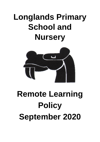# **Longlands Primary School and Nursery**



# **Remote Learning Policy September 2020**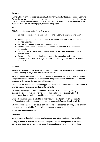# **Purpose**

In line with government guidance, Longlands Primary School will provide Remote Learning for pupils that are not able to attend school as a results of either local or national lockdown due to Covid-19. In the following points, an outline of the provision will be made and some guidance given on the role of pupils, teachers and parents.

# **Aims**

This Remote Learning policy for staff aims to:

- Ensure consistency in the approach to Remote Learning for pupils who aren't in school
- Set out expectations for all members of the school community with regards to Remote Learning
- Provide appropriate guidelines for data protection
- Ensure pupils unable to attend school remain fully included within the school community.
- Continue to ensure that every child receives the best education the school can provide them
- Ensure that Remote learning is integrated in the curriculum so it is an essential part of the school curriculum, alongside classroom teaching, or in the case of a local lockdown.

# **Context**

At Longlands we recognise that each family is unique and because of this, should approach Remote Learning in way which suits their individual needs.

Where possible, it is beneficial for young people to maintain a regular and familiar routine. Longlands Primary School would recommend that parents/carers endeavour to follow the structure of the school day and time table provided.

Where families do not have access to appropriate digital resources the school will attempt to provide printed worksheets for children to complete

We would encourage parents to support their children's work, including finding an appropriate place to work and, to the best of their ability, support pupils with work encouraging them to work with good levels of concentration.

Every effort will be made by staff to ensure that work is set promptly on appropriate platforms but school cannot guarantee that the chosen platforms will work on all devices.

Should accessing work be an issue, parents should contact school promptly and alternative solutions may be available. These will be discussed on case-to-case basis.

#### **Roles and Responsibilities**

#### **Teachers**

When providing Remote Learning, teachers must be available between 9am and 3pm.

If they're unable to work for any reason during this time, for example due to sickness or caring for a dependent, they should report this using the normal absence procedure.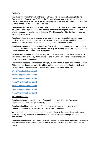#### Setting Work

Teachers will outline the work daily and in advance, via our chosen learning platforms, Purple Mash or Tapestry for EYFS pupils. They will also provide a timetable of learning that needs to be covered each day. Work will be available on the learning platforms no later than 8.30am on the day it needs to be completed

Teachers will provide learning for their current class. The amount of work they will provide is daily Maths and English lessons plus lessons for foundation subjects each week. Daily phonics lessons will be planned for KS1 and SPAG lessons for KS2. Children will also be expected to read daily.

Teachers will use a range of sources to set appropriate work linked to their year group curriculum, such as resources provide by the Oak National Academy, Mathletics and BBC Bitesize, as well as other resources identified by school curriculum leaders.

Teachers may need to create short videos of themselves, to support the teaching of a new concept or to address any misconceptions that may arise during a teaching sequence, these will be uploaded onto Purple Mash or Tapestry.

Teachers will also need to create learning packs for pupils who do not have internet access. The packs will be printed by staff who are on site, ready for parents to collect or for staff to deliver to homes as appropriate.

Teachers will respond, within reason, promptly to requests for support from families at home. This should be done via email or by adding further video guidance for families. Staff and parents should communicate via the individual year group email addresses:

[EYFS@longlands.herts.sch.uk](mailto:EYFS@longlands.herts.sch.uk) [Year1@longlands.herts.sch.uk](mailto:Year1@longlands.herts.sch.uk) [Year2@longlands.herts.sch.uk](mailto:Year2@longlands.herts.sch.uk) [Year3@longlands.herts.sch.uk](mailto:Year3@longlands.herts.sch.uk) [Year4@longlands.herts.sch.uk](mailto:Year4@longlands.herts.sch.uk) [Year5@longlands.herts.sch.uk](mailto:Year5@longlands.herts.sch.uk) [Year6@longlands.herts.sch.uk](mailto:Year6@longlands.herts.sch.uk) Providing Feedback

Teachers will access completed work from pupils via Purple Mash or Tapestry as appropriate and provide pupils with daily written feedback.

Teachers should arrange a weekly Zoom call with each child in the class to discuss feedbacks, address misconceptions and set targets for learning.

When attending virtual meetings teachers should adhere to the school dress code, avoid areas with background noise, and ensure that there is nothing inappropriate in the background.

Teachers should check their class email each day and respond to any questions or concerns that parents may have, although emails should not be answered outside normal working hours.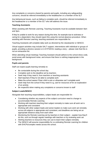Any complaints or concerns shared by parents and pupils, including any safeguarding concerns, should be referred immediately to the headteacher or a member of the SLT

Any behavioural issues, such as failing to complete work, should be referred immediately to the headteacher or a member of the SLT who will address the issue.

## **Teaching Assistants**

When assisting with Remote Learning, Teaching Assistants must be available between 9am and 3pm.

If they're unable to work for any reason during this time, for example due to sickness or caring for a dependent, they should report this using the normal absence procedure. When assisting with Remote Learning, teaching assistants are responsible for:

Teaching Assistants will complete daily work as directed by the classteacher or SENCO.

Virtual support activities may include SALT support, interventions with individual or groups of pupils, providing a phonics session or in EYFS/KS1 reading a story – please note that this is not an exhaustive list.

When attending virtual meetings Teaching Assistant should adhere to the school dress code, avoid areas with background noise, and ensure that there is nothing inappropriate in the background.

# **Pupils and parents**

Staff can expect pupils learning remotely to:

- Be contactable during the school day
- Complete work to the deadline set by teachers
- Seek help if they need it, from teachers or teaching assistants
- Alert teachers if they're not able to complete work
- Make the school aware if their child is sick or otherwise can't complete work
- Seek help from the school if they need it e.g. ask for resources of for an explanation of an activity
- Be respectful when making any complaints or concerns known to staff

# **Subject Leads/SENCO**

Alongside their teaching responsibilities, subject leads are responsible for:

- Considering whether any aspects of the subject curriculum need to change to accommodate Remote Learning
- Working with teachers teaching their subject remotely to make sure all work set is appropriate and consistent
- Working with other subject leads and senior leaders to make sure work set remotely across all subjects is appropriate and consistent, and deadlines are being set an appropriate distance away from each other
- Monitoring the Remote Learning set by teachers in their subject explain how they'll do this, such as through regular meetings with teachers or by reviewing work set
- Alerting teachers to resources they can use to teach their subject remotely
- The SENCO will assume responsibility for co-ordinating Remote Learning for children with EHCPs/complex needs across the school.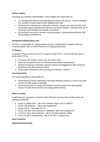# **Senior Leaders**

Alongside any teaching responsibilities, senior leaders are responsible for:

- Co-ordinating the Remote Learning approach across the school if you've assigned one member of staff to lead on this, highlight them here
- Monitoring the effectiveness of Remote Learning explain how they'll do this, such as through regular meetings with teachers and subject leaders, reviewing work set or reaching out for feedback from pupils and parents
- Monitoring the security of Remote Learning systems, including data protection and safeguarding considerations

#### **Designated Safeguarding Lead**

The DSL is responsible for: Safeguarding concerns, including those related to Remote Learning Please refer to Child Protection and Safeguarding Policy.

#### **IT Support**

Longlands Primary School procures IT support through SITTS. School staff may need to liaise with SITTS to:

- Fix issues with systems used to set and collect work
- Help staff and parents with any technical issues they're experiencing
- Review the security of Remote Learning systems and flagging any data protection breaches to the data protection officer
- Assist pupils and parents with accessing the internet or devices

#### **Governing Body**

The Governing Body is responsible for:

- Monitoring the school's approach to providing Remote Learning to ensure education remains as high quality as possible
- Ensuring that staff are certain that Remote Learning systems are appropriately secure, for both data protection and safeguarding reasons

#### **Who to Contact**

If staff have any questions or concerns about Remote Learning, they should contact the following individuals:

- Issues in setting work talk to the relevant subject lead or SENCO
- $\bullet$  Issues with behaviour talk to the headteacher
- $\bullet$  Issues with IT liaise with SITTS
- Issues with their own workload or wellbeing talk to the headteacher
- Concerns about data protection talk to the data protection officer
- Concerns about safeguarding talk to the DSL or Deputy DSL

#### **Data Protection**

#### Accessing personal data